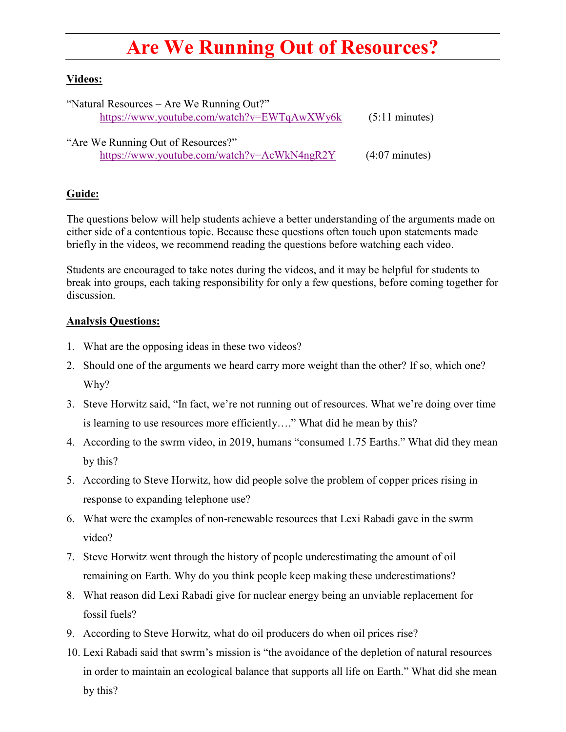## **Are We Running Out of Resources?**

## **Videos:**

| "Natural Resources – Are We Running Out?"   | $(5:11 \text{ minutes})$ |
|---------------------------------------------|--------------------------|
| https://www.youtube.com/watch?v=EWTqAwXWy6k |                          |
|                                             |                          |
| "Are We Running Out of Resources?"          |                          |
| https://www.youtube.com/watch?v=AcWkN4ngR2Y | $(4:07 \text{ minutes})$ |

## **Guide:**

The questions below will help students achieve a better understanding of the arguments made on either side of a contentious topic. Because these questions often touch upon statements made briefly in the videos, we recommend reading the questions before watching each video.

Students are encouraged to take notes during the videos, and it may be helpful for students to break into groups, each taking responsibility for only a few questions, before coming together for discussion.

## **Analysis Questions:**

- 1. What are the opposing ideas in these two videos?
- 2. Should one of the arguments we heard carry more weight than the other? If so, which one? Why?
- 3. Steve Horwitz said, "In fact, we're not running out of resources. What we're doing over time is learning to use resources more efficiently…." What did he mean by this?
- 4. According to the swrm video, in 2019, humans "consumed 1.75 Earths." What did they mean by this?
- 5. According to Steve Horwitz, how did people solve the problem of copper prices rising in response to expanding telephone use?
- 6. What were the examples of non-renewable resources that Lexi Rabadi gave in the swrm video?
- 7. Steve Horwitz went through the history of people underestimating the amount of oil remaining on Earth. Why do you think people keep making these underestimations?
- 8. What reason did Lexi Rabadi give for nuclear energy being an unviable replacement for fossil fuels?
- 9. According to Steve Horwitz, what do oil producers do when oil prices rise?
- 10. Lexi Rabadi said that swrm's mission is "the avoidance of the depletion of natural resources in order to maintain an ecological balance that supports all life on Earth." What did she mean by this?